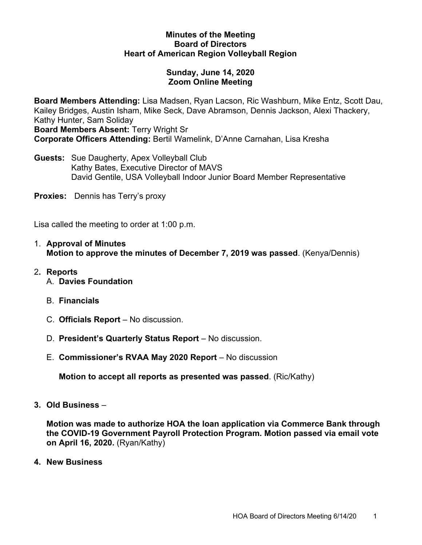### **Minutes of the Meeting Board of Directors Heart of American Region Volleyball Region**

# **Sunday, June 14, 2020 Zoom Online Meeting**

**Board Members Attending:** Lisa Madsen, Ryan Lacson, Ric Washburn, Mike Entz, Scott Dau, Kailey Bridges, Austin Isham, Mike Seck, Dave Abramson, Dennis Jackson, Alexi Thackery, Kathy Hunter, Sam Soliday **Board Members Absent:** Terry Wright Sr

**Corporate Officers Attending:** Bertil Wamelink, D'Anne Carnahan, Lisa Kresha

**Guests:** Sue Daugherty, Apex Volleyball Club Kathy Bates, Executive Director of MAVS David Gentile, USA Volleyball Indoor Junior Board Member Representative

**Proxies:** Dennis has Terry's proxy

Lisa called the meeting to order at 1:00 p.m.

- 1. **Approval of Minutes Motion to approve the minutes of December 7, 2019 was passed**. (Kenya/Dennis)
- 2**. Reports** A. **Davies Foundation**
	- B. **Financials**
	- C. **Officials Report** No discussion.
	- D. **President's Quarterly Status Report** No discussion.
	- E. **Commissioner's RVAA May 2020 Report** No discussion

**Motion to accept all reports as presented was passed**. (Ric/Kathy)

**3. Old Business** –

**Motion was made to authorize HOA the loan application via Commerce Bank through the COVID-19 Government Payroll Protection Program. Motion passed via email vote on April 16, 2020.** (Ryan/Kathy)

**4. New Business**